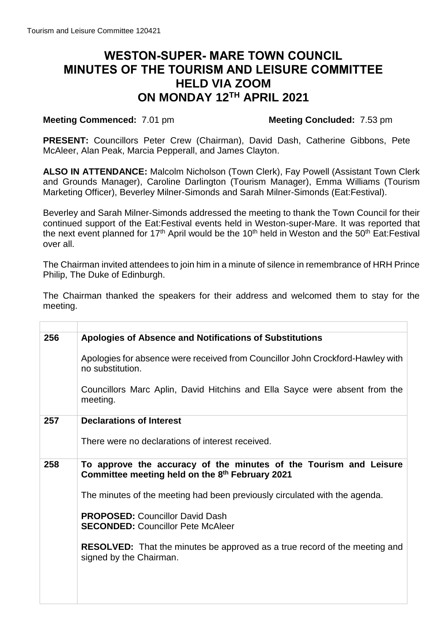# **WESTON-SUPER- MARE TOWN COUNCIL MINUTES OF THE TOURISM AND LEISURE COMMITTEE HELD VIA ZOOM ON MONDAY 12TH APRIL 2021**

# **Meeting Commenced:** 7.01 pm **Meeting Concluded:** 7.53 pm

**PRESENT:** Councillors Peter Crew (Chairman), David Dash, Catherine Gibbons, Pete McAleer, Alan Peak, Marcia Pepperall, and James Clayton.

 **ALSO IN ATTENDANCE:** Malcolm Nicholson (Town Clerk), Fay Powell (Assistant Town Clerk and Grounds Manager), Caroline Darlington (Tourism Manager), Emma Williams (Tourism Marketing Officer), Beverley Milner-Simonds and Sarah Milner-Simonds (Eat:Festival).

 Beverley and Sarah Milner-Simonds addressed the meeting to thank the Town Council for their continued support of the Eat:Festival events held in Weston-super-Mare. It was reported that the next event planned for 17<sup>th</sup> April would be the 10<sup>th</sup> held in Weston and the 50<sup>th</sup> Eat:Festival over all.

 The Chairman invited attendees to join him in a minute of silence in remembrance of HRH Prince Philip, The Duke of Edinburgh.

 The Chairman thanked the speakers for their address and welcomed them to stay for the meeting.

| 256 | <b>Apologies of Absence and Notifications of Substitutions</b>                                                       |
|-----|----------------------------------------------------------------------------------------------------------------------|
|     | Apologies for absence were received from Councillor John Crockford-Hawley with<br>no substitution.                   |
|     | Councillors Marc Aplin, David Hitchins and Ella Sayce were absent from the<br>meeting.                               |
| 257 | <b>Declarations of Interest</b>                                                                                      |
|     | There were no declarations of interest received.                                                                     |
| 258 | To approve the accuracy of the minutes of the Tourism and Leisure<br>Committee meeting held on the 8th February 2021 |
|     | The minutes of the meeting had been previously circulated with the agenda.                                           |
|     | <b>PROPOSED:</b> Councillor David Dash<br><b>SECONDED: Councillor Pete McAleer</b>                                   |
|     | <b>RESOLVED:</b> That the minutes be approved as a true record of the meeting and<br>signed by the Chairman.         |
|     |                                                                                                                      |
|     |                                                                                                                      |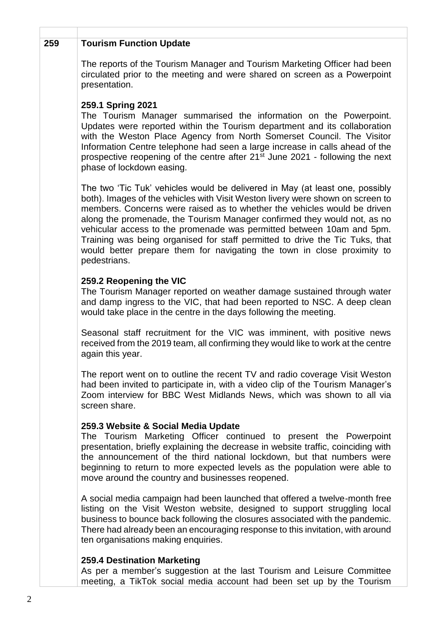#### **x x 259 Tourism Function Update**

 The reports of the Tourism Manager and Tourism Marketing Officer had been circulated prior to the meeting and were shared on screen as a Powerpoint presentation.

# **259.1 Spring 2021**

 The Tourism Manager summarised the information on the Powerpoint. Updates were reported within the Tourism department and its collaboration with the Weston Place Agency from North Somerset Council. The Visitor Information Centre telephone had seen a large increase in calls ahead of the prospective reopening of the centre after 21<sup>st</sup> June 2021 - following the next phase of lockdown easing.

 The two 'Tic Tuk' vehicles would be delivered in May (at least one, possibly both). Images of the vehicles with Visit Weston livery were shown on screen to members. Concerns were raised as to whether the vehicles would be driven along the promenade, the Tourism Manager confirmed they would not, as no vehicular access to the promenade was permitted between 10am and 5pm. Training was being organised for staff permitted to drive the Tic Tuks, that would better prepare them for navigating the town in close proximity to pedestrians.

# **259.2 Reopening the VIC**

 The Tourism Manager reported on weather damage sustained through water and damp ingress to the VIC, that had been reported to NSC. A deep clean would take place in the centre in the days following the meeting.

 Seasonal staff recruitment for the VIC was imminent, with positive news received from the 2019 team, all confirming they would like to work at the centre again this year.

 The report went on to outline the recent TV and radio coverage Visit Weston had been invited to participate in, with a video clip of the Tourism Manager's Zoom interview for BBC West Midlands News, which was shown to all via screen share.

### **259.3 Website & Social Media Update**

 The Tourism Marketing Officer continued to present the Powerpoint presentation, briefly explaining the decrease in website traffic, coinciding with the announcement of the third national lockdown, but that numbers were beginning to return to more expected levels as the population were able to move around the country and businesses reopened.

 A social media campaign had been launched that offered a twelve-month free listing on the Visit Weston website, designed to support struggling local business to bounce back following the closures associated with the pandemic. There had already been an encouraging response to this invitation, with around ten organisations making enquiries.

### **259.4 Destination Marketing**

 As per a member's suggestion at the last Tourism and Leisure Committee meeting, a TikTok social media account had been set up by the Tourism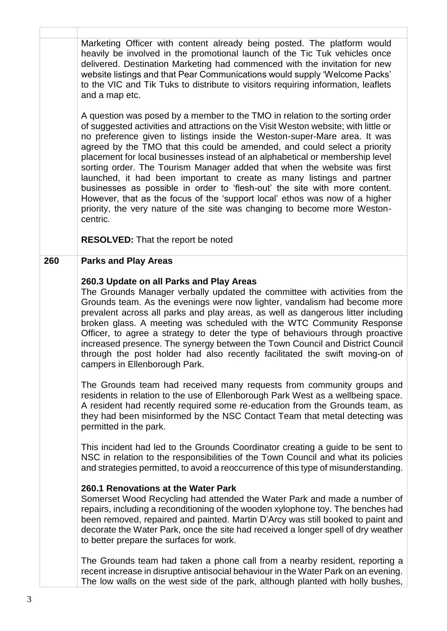Marketing Officer with content already being posted. The platform would heavily be involved in the promotional launch of the Tic Tuk vehicles once delivered. Destination Marketing had commenced with the invitation for new website listings and that Pear Communications would supply 'Welcome Packs' to the VIC and Tik Tuks to distribute to visitors requiring information, leaflets and a map etc. A question was posed by a member to the TMO in relation to the sorting order of suggested activities and attractions on the Visit Weston website; with little or no preference given to listings inside the Weston-super-Mare area. It was agreed by the TMO that this could be amended, and could select a priority placement for local businesses instead of an alphabetical or membership level sorting order. The Tourism Manager added that when the website was first launched, it had been important to create as many listings and partner businesses as possible in order to 'flesh-out' the site with more content. However, that as the focus of the 'support local' ethos was now of a higher priority, the very nature of the site was changing to become more Weston- **260.3 Update on all Parks and Play Areas**  The Grounds Manager verbally updated the committee with activities from the Grounds team. As the evenings were now lighter, vandalism had become more prevalent across all parks and play areas, as well as dangerous litter including broken glass. A meeting was scheduled with the WTC Community Response Officer, to agree a strategy to deter the type of behaviours through proactive through the post holder had also recently facilitated the swift moving-on of The Grounds team had received many requests from community groups and residents in relation to the use of Ellenborough Park West as a wellbeing space. A resident had recently required some re-education from the Grounds team, as they had been misinformed by the NSC Contact Team that metal detecting was This incident had led to the Grounds Coordinator creating a guide to be sent to NSC in relation to the responsibilities of the Town Council and what its policies and strategies permitted, to avoid a reoccurrence of this type of misunderstanding. Somerset Wood Recycling had attended the Water Park and made a number of repairs, including a reconditioning of the wooden xylophone toy. The benches had been removed, repaired and painted. Martin D'Arcy was still booked to paint and decorate the Water Park, once the site had received a longer spell of dry weather The Grounds team had taken a phone call from a nearby resident, reporting a recent increase in disruptive antisocial behaviour in the Water Park on an evening. The low walls on the west side of the park, although planted with holly bushes, **x x** centric. **RESOLVED:** That the report be noted **260 Parks and Play Areas**  increased presence. The synergy between the Town Council and District Council campers in Ellenborough Park. permitted in the park. **260.1 Renovations at the Water Park**  to better prepare the surfaces for work.